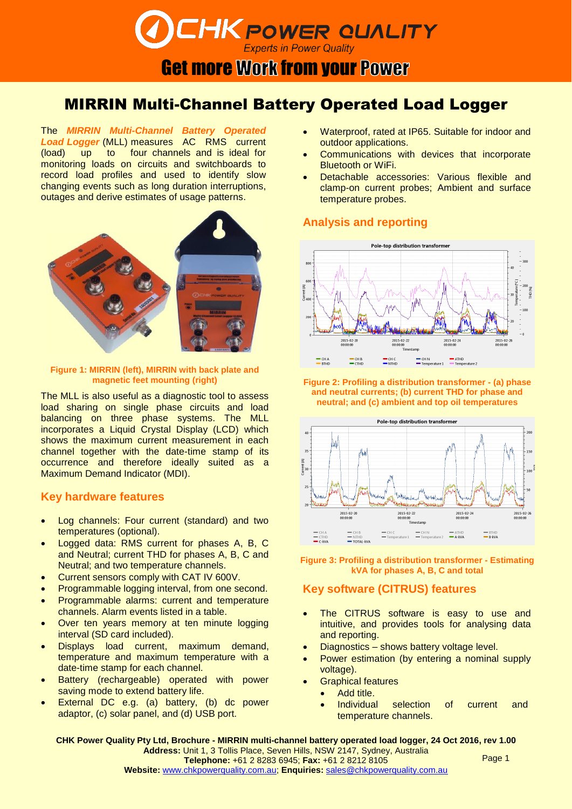# **DEHK POWER QUALITY**

**Get more Work from your Power** 

### MIRRIN Multi-Channel Battery Operated Load Logger

The *MIRRIN Multi-Channel Battery Operated*  Load Logger (MLL) measures AC RMS current (load) up to four channels and is ideal for monitoring loads on circuits and switchboards to record load profiles and used to identify slow changing events such as long duration interruptions, outages and derive estimates of usage patterns.



## **Figure 1: MIRRIN (left), MIRRIN with back plate and**

The MLL is also useful as a diagnostic tool to assess load sharing on single phase circuits and load balancing on three phase systems. The MLL incorporates a Liquid Crystal Display (LCD) which shows the maximum current measurement in each channel together with the date-time stamp of its occurrence and therefore ideally suited as a Maximum Demand Indicator (MDI).

### **Key hardware features**

- Log channels: Four current (standard) and two temperatures (optional).
- Logged data: RMS current for phases A, B, C and Neutral; current THD for phases A, B, C and Neutral; and two temperature channels.
- Current sensors comply with CAT IV 600V.
- Programmable logging interval, from one second.
- Programmable alarms: current and temperature channels. Alarm events listed in a table.
- Over ten years memory at ten minute logging interval (SD card included).
- Displays load current, maximum demand, temperature and maximum temperature with a date-time stamp for each channel.
- Battery (rechargeable) operated with power saving mode to extend battery life.
- External DC e.g. (a) battery, (b) dc power adaptor, (c) solar panel, and (d) USB port.
- Waterproof, rated at IP65. Suitable for indoor and outdoor applications.
- Communications with devices that incorporate Bluetooth or WiFi.
- Detachable accessories: Various flexible and clamp-on current probes; Ambient and surface temperature probes.

### **Analysis and reporting**



**magnetic feet mounting (right) Figure 2: Profiling a distribution transformer - (a) phase and neutral currents; (b) current THD for phase and neutral; and (c) ambient and top oil temperatures**



**Figure 3: Profiling a distribution transformer - Estimating kVA for phases A, B, C and total**

### **Key software (CITRUS) features**

- The CITRUS software is easy to use and intuitive, and provides tools for analysing data and reporting.
- Diagnostics shows battery voltage level.
- Power estimation (by entering a nominal supply voltage).
- Graphical features
	- Add title.
	- Individual selection of current and temperature channels.